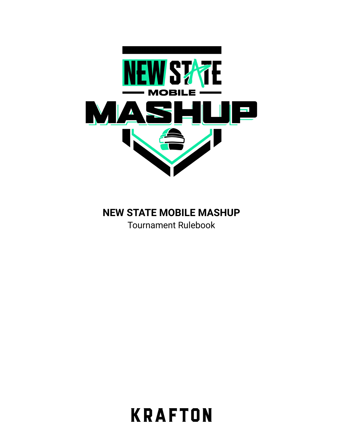

# **NEW STATE MOBILE MASHUP**

Tournament Rulebook

**KRAFTON**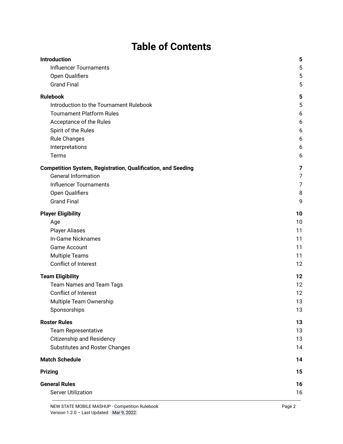# **Table of Contents**

| <b>Introduction</b>                                                 | 5              |
|---------------------------------------------------------------------|----------------|
| <b>Influencer Tournaments</b>                                       | 5              |
| Open Qualifiers                                                     | 5              |
| <b>Grand Final</b>                                                  | 5              |
| <b>Rulebook</b>                                                     | 5              |
| Introduction to the Tournament Rulebook                             | 5              |
| <b>Tournament Platform Rules</b>                                    | 6              |
| Acceptance of the Rules                                             | 6              |
| Spirit of the Rules                                                 | 6              |
| <b>Rule Changes</b>                                                 | 6              |
| Interpretations                                                     | 6              |
| Terms                                                               | 6              |
| <b>Competition System, Registration, Qualification, and Seeding</b> | $\overline{7}$ |
| <b>General Information</b>                                          | 7              |
| <b>Influencer Tournaments</b>                                       | 7              |
| Open Qualifiers                                                     | 8              |
| <b>Grand Final</b>                                                  | 9              |
| <b>Player Eligibility</b>                                           | 10             |
| Age                                                                 | 10             |
| <b>Player Aliases</b>                                               | 11             |
| In-Game Nicknames                                                   | 11             |
| <b>Game Account</b>                                                 | 11             |
| <b>Multiple Teams</b>                                               | 11             |
| Conflict of Interest                                                | 12             |
| <b>Team Eligibility</b>                                             | 12             |
| <b>Team Names and Team Tags</b>                                     | 12             |
| <b>Conflict of Interest</b>                                         | 12             |
| Multiple Team Ownership                                             | 13             |
| Sponsorships                                                        | 13             |
| <b>Roster Rules</b>                                                 | 13             |
| <b>Team Representative</b>                                          | 13             |
| <b>Citizenship and Residency</b>                                    | 13             |
| Substitutes and Roster Changes                                      | 14             |
| <b>Match Schedule</b>                                               | 14             |
| <b>Prizing</b>                                                      | 15             |
| <b>General Rules</b>                                                | 16             |
| <b>Server Utilization</b>                                           | 16             |
|                                                                     |                |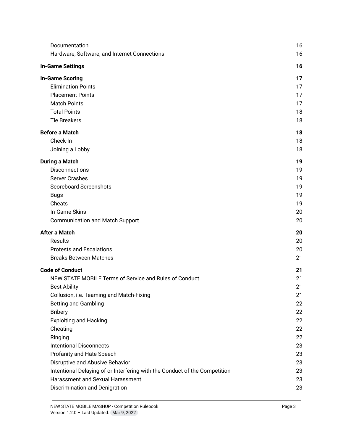| Documentation                                                              | 16 |
|----------------------------------------------------------------------------|----|
| Hardware, Software, and Internet Connections                               | 16 |
| <b>In-Game Settings</b>                                                    | 16 |
| <b>In-Game Scoring</b>                                                     | 17 |
| <b>Elimination Points</b>                                                  | 17 |
| <b>Placement Points</b>                                                    | 17 |
| <b>Match Points</b>                                                        | 17 |
| <b>Total Points</b>                                                        | 18 |
| <b>Tie Breakers</b>                                                        | 18 |
| <b>Before a Match</b>                                                      | 18 |
| Check-In                                                                   | 18 |
| Joining a Lobby                                                            | 18 |
| <b>During a Match</b>                                                      | 19 |
| <b>Disconnections</b>                                                      | 19 |
| <b>Server Crashes</b>                                                      | 19 |
| <b>Scoreboard Screenshots</b>                                              | 19 |
| Bugs                                                                       | 19 |
| Cheats                                                                     | 19 |
| In-Game Skins                                                              | 20 |
| <b>Communication and Match Support</b>                                     | 20 |
| <b>After a Match</b>                                                       | 20 |
| <b>Results</b>                                                             | 20 |
| <b>Protests and Escalations</b>                                            | 20 |
| <b>Breaks Between Matches</b>                                              | 21 |
| <b>Code of Conduct</b>                                                     | 21 |
| NEW STATE MOBILE Terms of Service and Rules of Conduct                     | 21 |
| <b>Best Ability</b>                                                        | 21 |
| Collusion, i.e. Teaming and Match-Fixing                                   | 21 |
| Betting and Gambling                                                       | 22 |
| <b>Bribery</b>                                                             | 22 |
| <b>Exploiting and Hacking</b>                                              | 22 |
| Cheating                                                                   | 22 |
| Ringing                                                                    | 22 |
| <b>Intentional Disconnects</b>                                             | 23 |
| Profanity and Hate Speech                                                  | 23 |
| Disruptive and Abusive Behavior                                            | 23 |
| Intentional Delaying of or Interfering with the Conduct of the Competition | 23 |
| Harassment and Sexual Harassment                                           | 23 |
| Discrimination and Denigration                                             | 23 |
|                                                                            |    |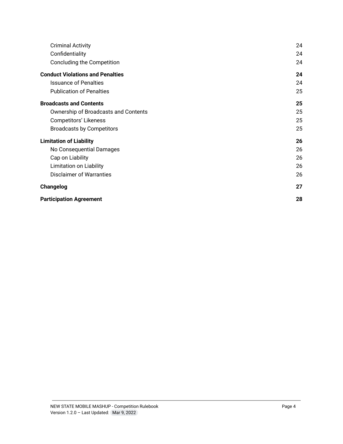| <b>Criminal Activity</b>                | 24 |
|-----------------------------------------|----|
| Confidentiality                         | 24 |
| Concluding the Competition              | 24 |
| <b>Conduct Violations and Penalties</b> | 24 |
| <b>Issuance of Penalties</b>            | 24 |
| <b>Publication of Penalties</b>         | 25 |
| <b>Broadcasts and Contents</b>          | 25 |
| Ownership of Broadcasts and Contents    | 25 |
| <b>Competitors' Likeness</b>            | 25 |
| <b>Broadcasts by Competitors</b>        | 25 |
| <b>Limitation of Liability</b>          | 26 |
| No Consequential Damages                | 26 |
| Cap on Liability                        | 26 |
| Limitation on Liability                 | 26 |
| Disclaimer of Warranties                | 26 |
| Changelog                               | 27 |
| <b>Participation Agreement</b>          | 28 |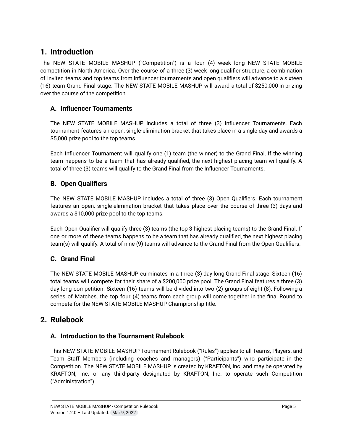# <span id="page-4-0"></span>**1. Introduction**

The NEW STATE MOBILE MASHUP ("Competition") is a four (4) week long NEW STATE MOBILE competition in North America. Over the course of a three (3) week long qualifier structure, a combination of invited teams and top teams from influencer tournaments and open qualifiers will advance to a sixteen (16) team Grand Final stage. The NEW STATE MOBILE MASHUP will award a total of \$250,000 in prizing over the course of the competition.

## <span id="page-4-1"></span>**A. Influencer Tournaments**

The NEW STATE MOBILE MASHUP includes a total of three (3) Influencer Tournaments. Each tournament features an open, single-elimination bracket that takes place in a single day and awards a \$5,000 prize pool to the top teams.

Each Influencer Tournament will qualify one (1) team (the winner) to the Grand Final. If the winning team happens to be a team that has already qualified, the next highest placing team will qualify. A total of three (3) teams will qualify to the Grand Final from the Influencer Tournaments.

## <span id="page-4-2"></span>**B. Open Qualifiers**

The NEW STATE MOBILE MASHUP includes a total of three (3) Open Qualifiers. Each tournament features an open, single-elimination bracket that takes place over the course of three (3) days and awards a \$10,000 prize pool to the top teams.

Each Open Qualifier will qualify three (3) teams (the top 3 highest placing teams) to the Grand Final. If one or more of these teams happens to be a team that has already qualified, the next highest placing team(s) will qualify. A total of nine (9) teams will advance to the Grand Final from the Open Qualifiers.

## <span id="page-4-3"></span>**C. Grand Final**

The NEW STATE MOBILE MASHUP culminates in a three (3) day long Grand Final stage. Sixteen (16) total teams will compete for their share of a \$200,000 prize pool. The Grand Final features a three (3) day long competition. Sixteen (16) teams will be divided into two (2) groups of eight (8). Following a series of Matches, the top four (4) teams from each group will come together in the final Round to compete for the NEW STATE MOBILE MASHUP Championship title.

# <span id="page-4-5"></span><span id="page-4-4"></span>**2. Rulebook**

### **A. Introduction to the Tournament Rulebook**

This NEW STATE MOBILE MASHUP Tournament Rulebook ("Rules") applies to all Teams, Players, and Team Staff Members (including coaches and managers) ("Participants") who participate in the Competition. The NEW STATE MOBILE MASHUP is created by KRAFTON, Inc. and may be operated by KRAFTON, Inc. or any third-party designated by KRAFTON, Inc. to operate such Competition ("Administration").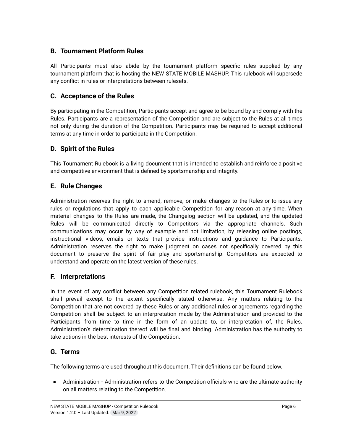## <span id="page-5-0"></span>**B. Tournament Platform Rules**

All Participants must also abide by the tournament platform specific rules supplied by any tournament platform that is hosting the NEW STATE MOBILE MASHUP. This rulebook will supersede any conflict in rules or interpretations between rulesets.

### <span id="page-5-1"></span>**C. Acceptance of the Rules**

By participating in the Competition, Participants accept and agree to be bound by and comply with the Rules. Participants are a representation of the Competition and are subject to the Rules at all times not only during the duration of the Competition. Participants may be required to accept additional terms at any time in order to participate in the Competition.

#### <span id="page-5-2"></span>**D. Spirit of the Rules**

This Tournament Rulebook is a living document that is intended to establish and reinforce a positive and competitive environment that is defined by sportsmanship and integrity.

#### <span id="page-5-3"></span>**E. Rule Changes**

Administration reserves the right to amend, remove, or make changes to the Rules or to issue any rules or regulations that apply to each applicable Competition for any reason at any time. When material changes to the Rules are made, the Changelog section will be updated, and the updated Rules will be communicated directly to Competitors via the appropriate channels. Such communications may occur by way of example and not limitation, by releasing online postings, instructional videos, emails or texts that provide instructions and guidance to Participants. Administration reserves the right to make judgment on cases not specifically covered by this document to preserve the spirit of fair play and sportsmanship. Competitors are expected to understand and operate on the latest version of these rules.

#### <span id="page-5-4"></span>**F. Interpretations**

In the event of any conflict between any Competition related rulebook, this Tournament Rulebook shall prevail except to the extent specifically stated otherwise. Any matters relating to the Competition that are not covered by these Rules or any additional rules or agreements regarding the Competition shall be subject to an interpretation made by the Administration and provided to the Participants from time to time in the form of an update to, or interpretation of, the Rules. Administration's determination thereof will be final and binding. Administration has the authority to take actions in the best interests of the Competition.

#### <span id="page-5-5"></span>**G. Terms**

The following terms are used throughout this document. Their definitions can be found below.

● Administration - Administration refers to the Competition officials who are the ultimate authority on all matters relating to the Competition.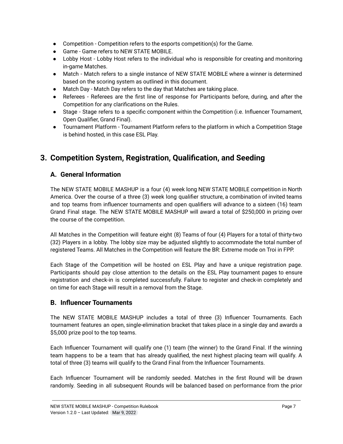- Competition Competition refers to the esports competition(s) for the Game.
- Game Game refers to NEW STATE MOBILE.
- Lobby Host Lobby Host refers to the individual who is responsible for creating and monitoring in-game Matches.
- Match Match refers to a single instance of NEW STATE MOBILE where a winner is determined based on the scoring system as outlined in this document.
- Match Day Match Day refers to the day that Matches are taking place.
- Referees Referees are the first line of response for Participants before, during, and after the Competition for any clarifications on the Rules.
- Stage Stage refers to a specific component within the Competition (i.e. Influencer Tournament, Open Qualifier, Grand Final).
- Tournament Platform Tournament Platform refers to the platform in which a Competition Stage is behind hosted, in this case ESL Play.

# <span id="page-6-1"></span><span id="page-6-0"></span>**3. Competition System, Registration, Qualification, and Seeding**

## **A. General Information**

The NEW STATE MOBILE MASHUP is a four (4) week long NEW STATE MOBILE competition in North America. Over the course of a three (3) week long qualifier structure, a combination of invited teams and top teams from influencer tournaments and open qualifiers will advance to a sixteen (16) team Grand Final stage. The NEW STATE MOBILE MASHUP will award a total of \$250,000 in prizing over the course of the competition.

All Matches in the Competition will feature eight (8) Teams of four (4) Players for a total of thirty-two (32) Players in a lobby. The lobby size may be adjusted slightly to accommodate the total number of registered Teams. All Matches in the Competition will feature the BR: Extreme mode on Troi in FPP.

Each Stage of the Competition will be hosted on ESL Play and have a unique registration page. Participants should pay close attention to the details on the ESL Play tournament pages to ensure registration and check-in is completed successfully. Failure to register and check-in completely and on time for each Stage will result in a removal from the Stage.

### <span id="page-6-2"></span>**B. Influencer Tournaments**

The NEW STATE MOBILE MASHUP includes a total of three (3) Influencer Tournaments. Each tournament features an open, single-elimination bracket that takes place in a single day and awards a \$5,000 prize pool to the top teams.

Each Influencer Tournament will qualify one (1) team (the winner) to the Grand Final. If the winning team happens to be a team that has already qualified, the next highest placing team will qualify. A total of three (3) teams will qualify to the Grand Final from the Influencer Tournaments.

Each Influencer Tournament will be randomly seeded. Matches in the first Round will be drawn randomly. Seeding in all subsequent Rounds will be balanced based on performance from the prior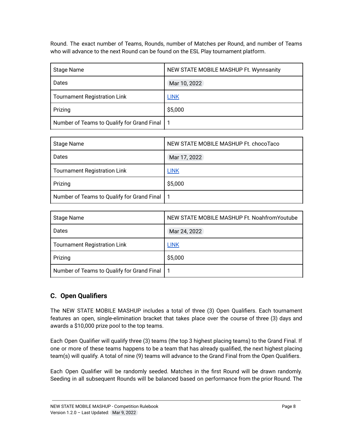Round. The exact number of Teams, Rounds, number of Matches per Round, and number of Teams who will advance to the next Round can be found on the ESL Play tournament platform.

| <b>Stage Name</b>                              | NEW STATE MOBILE MASHUP Ft. Wynnsanity |
|------------------------------------------------|----------------------------------------|
| Dates                                          | Mar 10, 2022                           |
| <b>Tournament Registration Link</b>            | <b>LINK</b>                            |
| Prizing                                        | \$5,000                                |
| Number of Teams to Qualify for Grand Final   1 |                                        |

| Stage Name                                     | NEW STATE MOBILE MASHUP Ft. chocoTaco |
|------------------------------------------------|---------------------------------------|
| Dates                                          | Mar 17, 2022                          |
| <b>Tournament Registration Link</b>            | <b>LINK</b>                           |
| Prizing                                        | \$5,000                               |
| Number of Teams to Qualify for Grand Final   1 |                                       |

| <b>Stage Name</b>                              | NEW STATE MOBILE MASHUP Ft. Noahfrom Youtube |
|------------------------------------------------|----------------------------------------------|
| Dates                                          | Mar 24, 2022                                 |
| <b>Tournament Registration Link</b>            | <b>LINK</b>                                  |
| Prizing                                        | \$5,000                                      |
| Number of Teams to Qualify for Grand Final   1 |                                              |

## <span id="page-7-0"></span>**C. Open Qualifiers**

The NEW STATE MOBILE MASHUP includes a total of three (3) Open Qualifiers. Each tournament features an open, single-elimination bracket that takes place over the course of three (3) days and awards a \$10,000 prize pool to the top teams.

Each Open Qualifier will qualify three (3) teams (the top 3 highest placing teams) to the Grand Final. If one or more of these teams happens to be a team that has already qualified, the next highest placing team(s) will qualify. A total of nine (9) teams will advance to the Grand Final from the Open Qualifiers.

Each Open Qualifier will be randomly seeded. Matches in the first Round will be drawn randomly. Seeding in all subsequent Rounds will be balanced based on performance from the prior Round. The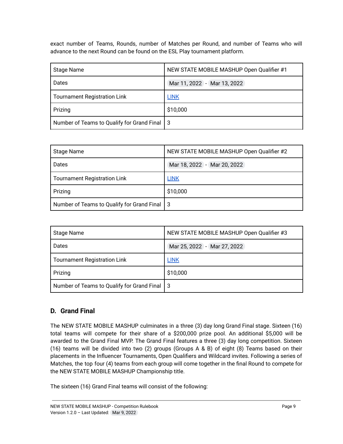exact number of Teams, Rounds, number of Matches per Round, and number of Teams who will advance to the next Round can be found on the ESL Play tournament platform.

| <b>Stage Name</b>                              | NEW STATE MOBILE MASHUP Open Qualifier #1 |  |
|------------------------------------------------|-------------------------------------------|--|
| Dates                                          | Mar 11, 2022 - Mar 13, 2022               |  |
| <b>Tournament Registration Link</b>            | <b>LINK</b>                               |  |
| Prizing                                        | \$10,000                                  |  |
| Number of Teams to Qualify for Grand Final   3 |                                           |  |

| Stage Name                                     | NEW STATE MOBILE MASHUP Open Qualifier #2 |
|------------------------------------------------|-------------------------------------------|
| Dates                                          | Mar 18, 2022 - Mar 20, 2022               |
| <b>Tournament Registration Link</b>            | <b>LINK</b>                               |
| Prizing                                        | \$10,000                                  |
| Number of Teams to Qualify for Grand Final   3 |                                           |

| <b>Stage Name</b>                              | NEW STATE MOBILE MASHUP Open Qualifier #3 |
|------------------------------------------------|-------------------------------------------|
| Dates                                          | Mar 25, 2022 - Mar 27, 2022               |
| <b>Tournament Registration Link</b>            | <b>LINK</b>                               |
| Prizing                                        | \$10,000                                  |
| Number of Teams to Qualify for Grand Final   3 |                                           |

### <span id="page-8-0"></span>**D. Grand Final**

The NEW STATE MOBILE MASHUP culminates in a three (3) day long Grand Final stage. Sixteen (16) total teams will compete for their share of a \$200,000 prize pool. An additional \$5,000 will be awarded to the Grand Final MVP. The Grand Final features a three (3) day long competition. Sixteen (16) teams will be divided into two (2) groups (Groups A & B) of eight (8) Teams based on their placements in the Influencer Tournaments, Open Qualifiers and Wildcard invites. Following a series of Matches, the top four (4) teams from each group will come together in the final Round to compete for the NEW STATE MOBILE MASHUP Championship title.

The sixteen (16) Grand Final teams will consist of the following: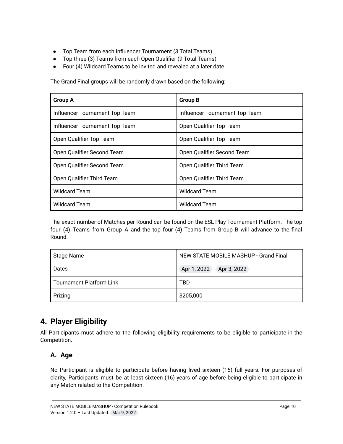- Top Team from each Influencer Tournament (3 Total Teams)
- Top three (3) Teams from each Open Qualifier (9 Total Teams)
- Four (4) Wildcard Teams to be invited and revealed at a later date

The Grand Final groups will be randomly drawn based on the following:

| <b>Group A</b>                 | <b>Group B</b>                 |
|--------------------------------|--------------------------------|
| Influencer Tournament Top Team | Influencer Tournament Top Team |
| Influencer Tournament Top Team | Open Qualifier Top Team        |
| Open Qualifier Top Team        | Open Qualifier Top Team        |
| Open Qualifier Second Team     | Open Qualifier Second Team     |
| Open Qualifier Second Team     | Open Qualifier Third Team      |
| Open Qualifier Third Team      | Open Qualifier Third Team      |
| <b>Wildcard Team</b>           | <b>Wildcard Team</b>           |
| <b>Wildcard Team</b>           | <b>Wildcard Team</b>           |

The exact number of Matches per Round can be found on the ESL Play Tournament Platform. The top four (4) Teams from Group A and the top four (4) Teams from Group B will advance to the final Round.

| Stage Name                      | NEW STATE MOBILE MASHUP - Grand Final |  |
|---------------------------------|---------------------------------------|--|
| Dates                           | Apr 1, 2022 - Apr 3, 2022             |  |
| <b>Tournament Platform Link</b> | TBD                                   |  |
| Prizing                         | \$205,000                             |  |

# <span id="page-9-0"></span>**4. Player Eligibility**

All Participants must adhere to the following eligibility requirements to be eligible to participate in the Competition.

## <span id="page-9-1"></span>**A. Age**

No Participant is eligible to participate before having lived sixteen (16) full years. For purposes of clarity, Participants must be at least sixteen (16) years of age before being eligible to participate in any Match related to the Competition.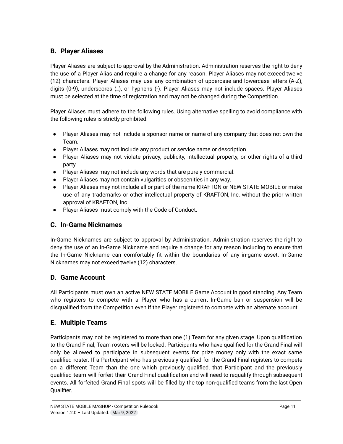## <span id="page-10-0"></span>**B. Player Aliases**

Player Aliases are subject to approval by the Administration. Administration reserves the right to deny the use of a Player Alias and require a change for any reason. Player Aliases may not exceed twelve (12) characters. Player Aliases may use any combination of uppercase and lowercase letters (A-Z), digits (0-9), underscores (\_), or hyphens (-). Player Aliases may not include spaces. Player Aliases must be selected at the time of registration and may not be changed during the Competition.

Player Aliases must adhere to the following rules. Using alternative spelling to avoid compliance with the following rules is strictly prohibited.

- Player Aliases may not include a sponsor name or name of any company that does not own the Team.
- Player Aliases may not include any product or service name or description.
- Player Aliases may not violate privacy, publicity, intellectual property, or other rights of a third party.
- Player Aliases may not include any words that are purely commercial.
- Player Aliases may not contain vulgarities or obscenities in any way.
- Player Aliases may not include all or part of the name KRAFTON or NEW STATE MOBILE or make use of any trademarks or other intellectual property of KRAFTON, Inc. without the prior written approval of KRAFTON, Inc.
- Player Aliases must comply with the Code of Conduct.

## <span id="page-10-1"></span>**C. In-Game Nicknames**

In-Game Nicknames are subject to approval by Administration. Administration reserves the right to deny the use of an In-Game Nickname and require a change for any reason including to ensure that the In-Game Nickname can comfortably fit within the boundaries of any in-game asset. In-Game Nicknames may not exceed twelve (12) characters.

## <span id="page-10-2"></span>**D. Game Account**

All Participants must own an active NEW STATE MOBILE Game Account in good standing. Any Team who registers to compete with a Player who has a current In-Game ban or suspension will be disqualified from the Competition even if the Player registered to compete with an alternate account.

## <span id="page-10-3"></span>**E. Multiple Teams**

Participants may not be registered to more than one (1) Team for any given stage. Upon qualification to the Grand Final, Team rosters will be locked. Participants who have qualified for the Grand Final will only be allowed to participate in subsequent events for prize money only with the exact same qualified roster. If a Participant who has previously qualified for the Grand Final registers to compete on a different Team than the one which previously qualified, that Participant and the previously qualified team will forfeit their Grand Final qualification and will need to requalify through subsequent events. All forfeited Grand Final spots will be filled by the top non-qualified teams from the last Open Qualifier.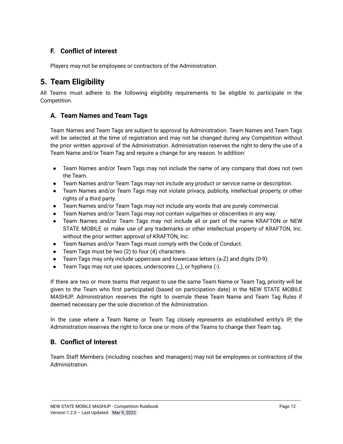## <span id="page-11-0"></span>**F. Conflict of Interest**

Players may not be employees or contractors of the Administration.

# <span id="page-11-1"></span>**5. Team Eligibility**

All Teams must adhere to the following eligibility requirements to be eligible to participate in the Competition.

### <span id="page-11-2"></span>**A. Team Names and Team Tags**

Team Names and Team Tags are subject to approval by Administration. Team Names and Team Tags will be selected at the time of registration and may not be changed during any Competition without the prior written approval of the Administration. Administration reserves the right to deny the use of a Team Name and/or Team Tag and require a change for any reason. In addition:

- Team Names and/or Team Tags may not include the name of any company that does not own the Team.
- Team Names and/or Team Tags may not include any product or service name or description.
- Team Names and/or Team Tags may not violate privacy, publicity, intellectual property, or other rights of a third party.
- Team Names and/or Team Tags may not include any words that are purely commercial.
- Team Names and/or Team Tags may not contain vulgarities or obscenities in any way.
- Team Names and/or Team Tags may not include all or part of the name KRAFTON or NEW STATE MOBILE or make use of any trademarks or other intellectual property of KRAFTON, Inc. without the prior written approval of KRAFTON, Inc.
- Team Names and/or Team Tags must comply with the Code of Conduct.
- Team Tags must be two (2) to four (4) characters.
- Team Tags may only include uppercase and lowercase letters (a-Z) and digits (0-9).
- Team Tags may not use spaces, underscores (\_), or hyphens (-).

If there are two or more teams that request to use the same Team Name or Team Tag, priority will be given to the Team who first participated (based on participation date) in the NEW STATE MOBILE MASHUP. Administration reserves the right to overrule these Team Name and Team Tag Rules if deemed necessary per the sole discretion of the Administration.

In the case where a Team Name or Team Tag closely represents an established entity's IP, the Administration reserves the right to force one or more of the Teams to change their Team tag.

### <span id="page-11-3"></span>**B. Conflict of Interest**

Team Staff Members (including coaches and managers) may not be employees or contractors of the Administration.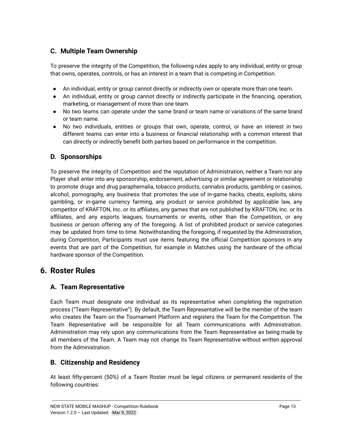## <span id="page-12-0"></span>**C. Multiple Team Ownership**

To preserve the integrity of the Competition, the following rules apply to any individual, entity or group that owns, operates, controls, or has an interest in a team that is competing in Competition.

- An individual, entity or group cannot directly or indirectly own or operate more than one team.
- An individual, entity or group cannot directly or indirectly participate in the financing, operation, marketing, or management of more than one team.
- No two teams can operate under the same brand or team name or variations of the same brand or team name.
- No two individuals, entities or groups that own, operate, control, or have an interest in two different teams can enter into a business or financial relationship with a common interest that can directly or indirectly benefit both parties based on performance in the competition.

### <span id="page-12-1"></span>**D. Sponsorships**

To preserve the integrity of Competition and the reputation of Administration, neither a Team nor any Player shall enter into any sponsorship, endorsement, advertising or similar agreement or relationship to promote drugs and drug paraphernalia, tobacco products, cannabis products, gambling or casinos, alcohol, pornography, any business that promotes the use of in-game hacks, cheats, exploits, skins gambling, or in-game currency farming, any product or service prohibited by applicable law, any competitor of KRAFTON, Inc. or its affiliates, any games that are not published by KRAFTON, Inc. or its affiliates, and any esports leagues, tournaments or events, other than the Competition, or any business or person offering any of the foregoing. A list of prohibited product or service categories may be updated from time to time. Notwithstanding the foregoing, if requested by the Administration, during Competition, Participants must use items featuring the official Competition sponsors in any events that are part of the Competition, for example in Matches using the hardware of the official hardware sponsor of the Competition.

# <span id="page-12-3"></span><span id="page-12-2"></span>**6. Roster Rules**

#### **A. Team Representative**

Each Team must designate one individual as its representative when completing the registration process ("Team Representative"). By default, the Team Representative will be the member of the team who creates the Team on the Tournament Platform and registers the Team for the Competition. The Team Representative will be responsible for all Team communications with Administration. Administration may rely upon any communications from the Team Representative as being made by all members of the Team. A Team may not change its Team Representative without written approval from the Administration.

### <span id="page-12-4"></span>**B. Citizenship and Residency**

At least fifty-percent (50%) of a Team Roster must be legal citizens or permanent residents of the following countries: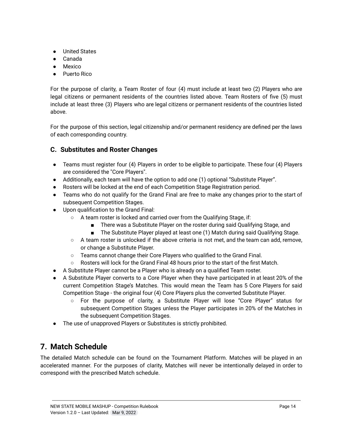- United States
- Canada
- Mexico
- Puerto Rico

For the purpose of clarity, a Team Roster of four (4) must include at least two (2) Players who are legal citizens or permanent residents of the countries listed above. Team Rosters of five (5) must include at least three (3) Players who are legal citizens or permanent residents of the countries listed above.

For the purpose of this section, legal citizenship and/or permanent residency are defined per the laws of each corresponding country.

### <span id="page-13-0"></span>**C. Substitutes and Roster Changes**

- Teams must register four (4) Players in order to be eligible to participate. These four (4) Players are considered the "Core Players".
- Additionally, each team will have the option to add one (1) optional "Substitute Player".
- Rosters will be locked at the end of each Competition Stage Registration period.
- Teams who do not qualify for the Grand Final are free to make any changes prior to the start of subsequent Competition Stages.
- Upon qualification to the Grand Final:
	- A team roster is locked and carried over from the Qualifying Stage, if:
		- There was a Substitute Player on the roster during said Qualifying Stage, and
		- The Substitute Player played at least one (1) Match during said Qualifying Stage.
	- A team roster is unlocked if the above criteria is not met, and the team can add, remove, or change a Substitute Player.
	- Teams cannot change their Core Players who qualified to the Grand Final.
	- Rosters will lock for the Grand Final 48 hours prior to the start of the first Match.
- A Substitute Player cannot be a Player who is already on a qualified Team roster.
- A Substitute Player converts to a Core Player when they have participated in at least 20% of the current Competition Stage's Matches. This would mean the Team has 5 Core Players for said Competition Stage - the original four (4) Core Players plus the converted Substitute Player.
	- For the purpose of clarity, a Substitute Player will lose "Core Player" status for subsequent Competition Stages unless the Player participates in 20% of the Matches in the subsequent Competition Stages.
- The use of unapproved Players or Substitutes is strictly prohibited.

# <span id="page-13-1"></span>**7. Match Schedule**

The detailed Match schedule can be found on the Tournament Platform. Matches will be played in an accelerated manner. For the purposes of clarity, Matches will never be intentionally delayed in order to correspond with the prescribed Match schedule.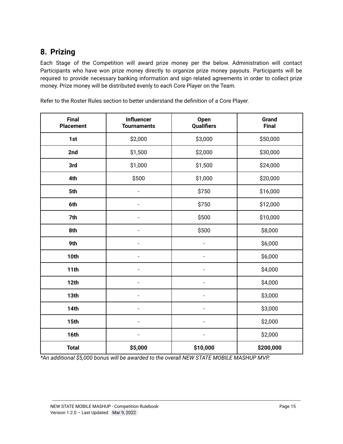# <span id="page-14-0"></span>**8. Prizing**

Each Stage of the Competition will award prize money per the below. Administration will contact Participants who have won prize money directly to organize prize money payouts. Participants will be required to provide necessary banking information and sign related agreements in order to collect prize money. Prize money will be distributed evenly to each Core Player on the Team.

| <b>Final</b><br><b>Placement</b> | <b>Influencer</b><br><b>Tournaments</b> | Open<br>Qualifiers       | Grand<br><b>Final</b> |
|----------------------------------|-----------------------------------------|--------------------------|-----------------------|
| 1st                              | \$2,000                                 | \$3,000                  | \$50,000              |
| 2nd                              | \$1,500                                 | \$2,000                  | \$30,000              |
| 3rd                              | \$1,000                                 | \$1,500                  | \$24,000              |
| 4th                              | \$500                                   | \$1,000                  | \$20,000              |
| 5th                              | $\blacksquare$                          | \$750                    | \$16,000              |
| 6th                              | $\overline{\phantom{0}}$                | \$750                    | \$12,000              |
| 7th                              |                                         | \$500                    | \$10,000              |
| 8th                              | $\overline{\phantom{a}}$                | \$500                    | \$8,000               |
| 9th                              | -                                       | $\overline{\phantom{0}}$ | \$6,000               |
| 10th                             | $\overline{a}$                          |                          | \$6,000               |
| 11 <sub>th</sub>                 |                                         | ÷                        | \$4,000               |
| 12th                             |                                         | ÷                        | \$4,000               |
| 13th                             |                                         | $\overline{a}$           | \$3,000               |
| <b>14th</b>                      |                                         | L,                       | \$3,000               |
| 15th                             |                                         | ÷                        | \$2,000               |
| 16th                             |                                         |                          | \$2,000               |
| <b>Total</b>                     | \$5,000                                 | \$10,000                 | \$200,000             |

Refer to the Roster Rules section to better understand the definition of a Core Player.

*\*An additional \$5,000 bonus will be awarded to the overall NEW STATE MOBILE MASHUP MVP.*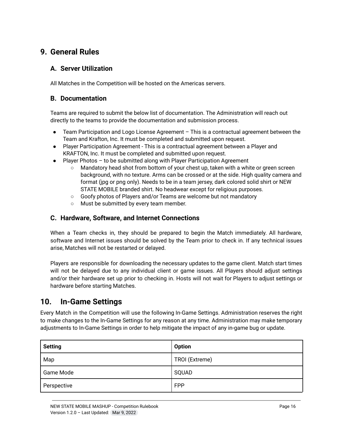# <span id="page-15-1"></span><span id="page-15-0"></span>**9. General Rules**

#### **A. Server Utilization**

All Matches in the Competition will be hosted on the Americas servers.

#### <span id="page-15-2"></span>**B. Documentation**

Teams are required to submit the below list of documentation. The Administration will reach out directly to the teams to provide the documentation and submission process.

- Team Participation and Logo License Agreement This is a contractual agreement between the Team and Krafton, Inc. It must be completed and submitted upon request.
- Player Participation Agreement This is a contractual agreement between a Player and KRAFTON, Inc. It must be completed and submitted upon request.
- Player Photos to be submitted along with Player Participation Agreement
	- Mandatory head shot from bottom of your chest up, taken with a white or green screen background, with no texture. Arms can be crossed or at the side. High quality camera and format (jpg or png only). Needs to be in a team jersey, dark colored solid shirt or NEW STATE MOBILE branded shirt. No headwear except for religious purposes.
	- Goofy photos of Players and/or Teams are welcome but not mandatory
	- Must be submitted by every team member.

#### <span id="page-15-3"></span>**C. Hardware, Software, and Internet Connections**

When a Team checks in, they should be prepared to begin the Match immediately. All hardware, software and Internet issues should be solved by the Team prior to check in. If any technical issues arise, Matches will not be restarted or delayed.

Players are responsible for downloading the necessary updates to the game client. Match start times will not be delayed due to any individual client or game issues. All Players should adjust settings and/or their hardware set up prior to checking in. Hosts will not wait for Players to adjust settings or hardware before starting Matches.

## <span id="page-15-4"></span>**10. In-Game Settings**

Every Match in the Competition will use the following In-Game Settings. Administration reserves the right to make changes to the In-Game Settings for any reason at any time. Administration may make temporary adjustments to In-Game Settings in order to help mitigate the impact of any in-game bug or update.

| <b>Setting</b> | <b>Option</b>  |
|----------------|----------------|
| Map            | TROI (Extreme) |
| Game Mode      | SQUAD          |
| Perspective    | <b>FPP</b>     |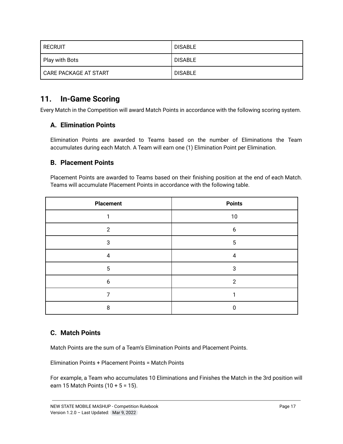| i recruit             | <b>DISABLE</b> |
|-----------------------|----------------|
| Play with Bots        | <b>DISABLE</b> |
| CARE PACKAGE AT START | <b>DISABLE</b> |

## <span id="page-16-0"></span>**11. In-Game Scoring**

<span id="page-16-1"></span>Every Match in the Competition will award Match Points in accordance with the following scoring system.

### **A. Elimination Points**

Elimination Points are awarded to Teams based on the number of Eliminations the Team accumulates during each Match. A Team will earn one (1) Elimination Point per Elimination.

#### <span id="page-16-2"></span>**B. Placement Points**

Placement Points are awarded to Teams based on their finishing position at the end of each Match. Teams will accumulate Placement Points in accordance with the following table.

| <b>Placement</b> | <b>Points</b>  |
|------------------|----------------|
|                  | 10             |
| っ                | 6              |
| 3                | 5              |
| 4                | 4              |
| 5                | 3              |
| 6                | $\overline{2}$ |
|                  |                |
| 8                |                |

### <span id="page-16-3"></span>**C. Match Points**

Match Points are the sum of a Team's Elimination Points and Placement Points.

Elimination Points + Placement Points = Match Points

For example, a Team who accumulates 10 Eliminations and Finishes the Match in the 3rd position will earn 15 Match Points  $(10 + 5 = 15)$ .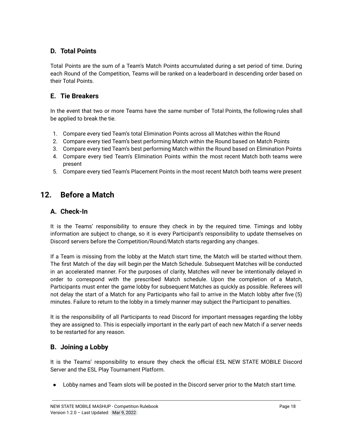### <span id="page-17-0"></span>**D. Total Points**

Total Points are the sum of a Team's Match Points accumulated during a set period of time. During each Round of the Competition, Teams will be ranked on a leaderboard in descending order based on their Total Points.

#### <span id="page-17-1"></span>**E. Tie Breakers**

In the event that two or more Teams have the same number of Total Points, the following rules shall be applied to break the tie.

- 1. Compare every tied Team's total Elimination Points across all Matches within the Round
- 2. Compare every tied Team's best performing Match within the Round based on Match Points
- 3. Compare every tied Team's best performing Match within the Round based on Elimination Points
- 4. Compare every tied Team's Elimination Points within the most recent Match both teams were present
- 5. Compare every tied Team's Placement Points in the most recent Match both teams were present

## <span id="page-17-3"></span><span id="page-17-2"></span>**12. Before a Match**

#### **A. Check-In**

It is the Teams' responsibility to ensure they check in by the required time. Timings and lobby information are subject to change, so it is every Participant's responsibility to update themselves on Discord servers before the Competition/Round/Match starts regarding any changes.

If a Team is missing from the lobby at the Match start time, the Match will be started without them. The first Match of the day will begin per the Match Schedule. Subsequent Matches will be conducted in an accelerated manner. For the purposes of clarity, Matches will never be intentionally delayed in order to correspond with the prescribed Match schedule. Upon the completion of a Match, Participants must enter the game lobby for subsequent Matches as quickly as possible. Referees will not delay the start of a Match for any Participants who fail to arrive in the Match lobby after five (5) minutes. Failure to return to the lobby in a timely manner may subject the Participant to penalties.

It is the responsibility of all Participants to read Discord for important messages regarding the lobby they are assigned to. This is especially important in the early part of each new Match if a server needs to be restarted for any reason.

#### <span id="page-17-4"></span>**B. Joining a Lobby**

It is the Teams' responsibility to ensure they check the official ESL NEW STATE MOBILE Discord Server and the ESL Play Tournament Platform.

● Lobby names and Team slots will be posted in the Discord server prior to the Match start time.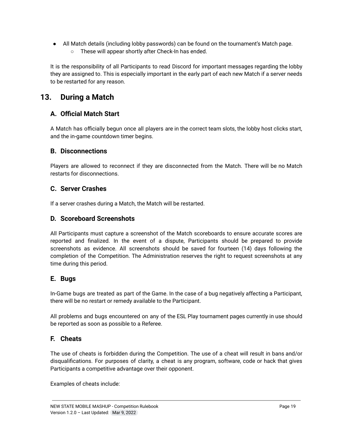● All Match details (including lobby passwords) can be found on the tournament's Match page. ○ These will appear shortly after Check-In has ended.

It is the responsibility of all Participants to read Discord for important messages regarding the lobby they are assigned to. This is especially important in the early part of each new Match if a server needs to be restarted for any reason.

# <span id="page-18-0"></span>**13. During a Match**

## **A. Official Match Start**

A Match has officially begun once all players are in the correct team slots, the lobby host clicks start, and the in-game countdown timer begins.

#### <span id="page-18-1"></span>**B. Disconnections**

Players are allowed to reconnect if they are disconnected from the Match. There will be no Match restarts for disconnections.

#### <span id="page-18-2"></span>**C. Server Crashes**

If a server crashes during a Match, the Match will be restarted.

#### <span id="page-18-3"></span>**D. Scoreboard Screenshots**

All Participants must capture a screenshot of the Match scoreboards to ensure accurate scores are reported and finalized. In the event of a dispute, Participants should be prepared to provide screenshots as evidence. All screenshots should be saved for fourteen (14) days following the completion of the Competition. The Administration reserves the right to request screenshots at any time during this period.

### <span id="page-18-4"></span>**E. Bugs**

In-Game bugs are treated as part of the Game. In the case of a bug negatively affecting a Participant, there will be no restart or remedy available to the Participant.

All problems and bugs encountered on any of the ESL Play tournament pages currently in use should be reported as soon as possible to a Referee.

### <span id="page-18-5"></span>**F. Cheats**

The use of cheats is forbidden during the Competition. The use of a cheat will result in bans and/or disqualifications. For purposes of clarity, a cheat is any program, software, code or hack that gives Participants a competitive advantage over their opponent.

Examples of cheats include: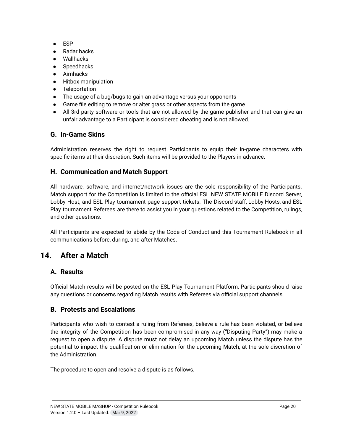- ESP
- Radar hacks
- Wallhacks
- **Speedhacks**
- Aimhacks
- Hitbox manipulation
- Teleportation
- The usage of a bug/bugs to gain an advantage versus your opponents
- Game file editing to remove or alter grass or other aspects from the game
- All 3rd party software or tools that are not allowed by the game publisher and that can give an unfair advantage to a Participant is considered cheating and is not allowed.

#### <span id="page-19-0"></span>**G. In-Game Skins**

Administration reserves the right to request Participants to equip their in-game characters with specific items at their discretion. Such items will be provided to the Players in advance.

#### <span id="page-19-1"></span>**H. Communication and Match Support**

All hardware, software, and internet/network issues are the sole responsibility of the Participants. Match support for the Competition is limited to the official ESL NEW STATE MOBILE Discord Server, Lobby Host, and ESL Play tournament page support tickets. The Discord staff, Lobby Hosts, and ESL Play tournament Referees are there to assist you in your questions related to the Competition, rulings, and other questions.

All Participants are expected to abide by the Code of Conduct and this Tournament Rulebook in all communications before, during, and after Matches.

# <span id="page-19-3"></span><span id="page-19-2"></span>**14. After a Match**

### **A. Results**

Official Match results will be posted on the ESL Play Tournament Platform. Participants should raise any questions or concerns regarding Match results with Referees via official support channels.

### <span id="page-19-4"></span>**B. Protests and Escalations**

Participants who wish to contest a ruling from Referees, believe a rule has been violated, or believe the integrity of the Competition has been compromised in any way ("Disputing Party") may make a request to open a dispute. A dispute must not delay an upcoming Match unless the dispute has the potential to impact the qualification or elimination for the upcoming Match, at the sole discretion of the Administration.

The procedure to open and resolve a dispute is as follows.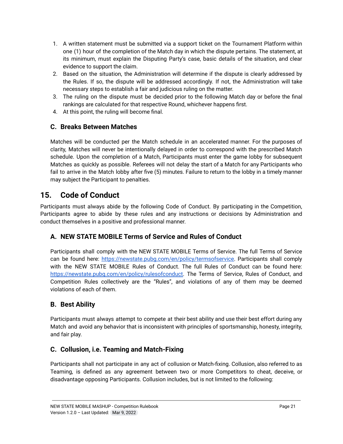- 1. A written statement must be submitted via a support ticket on the Tournament Platform within one (1) hour of the completion of the Match day in which the dispute pertains. The statement, at its minimum, must explain the Disputing Party's case, basic details of the situation, and clear evidence to support the claim.
- 2. Based on the situation, the Administration will determine if the dispute is clearly addressed by the Rules. If so, the dispute will be addressed accordingly. If not, the Administration will take necessary steps to establish a fair and judicious ruling on the matter.
- 3. The ruling on the dispute must be decided prior to the following Match day or before the final rankings are calculated for that respective Round, whichever happens first.
- 4. At this point, the ruling will become final.

## <span id="page-20-0"></span>**C. Breaks Between Matches**

Matches will be conducted per the Match schedule in an accelerated manner. For the purposes of clarity, Matches will never be intentionally delayed in order to correspond with the prescribed Match schedule. Upon the completion of a Match, Participants must enter the game lobby for subsequent Matches as quickly as possible. Referees will not delay the start of a Match for any Participants who fail to arrive in the Match lobby after five (5) minutes. Failure to return to the lobby in a timely manner may subject the Participant to penalties.

# <span id="page-20-1"></span>**15. Code of Conduct**

Participants must always abide by the following Code of Conduct. By participating in the Competition, Participants agree to abide by these rules and any instructions or decisions by Administration and conduct themselves in a positive and professional manner.

## <span id="page-20-2"></span>**A. NEW STATE MOBILE Terms of Service and Rules of Conduct**

Participants shall comply with the NEW STATE MOBILE Terms of Service. The full Terms of Service can be found here: [https://newstate.pubg.com/en/policy/termsofservice.](https://newstate.pubg.com/en/policy/termsofservice) Participants shall comply with the NEW STATE MOBILE Rules of Conduct. The full Rules of Conduct can be found here: [https://newstate.pubg.com/en/policy/rulesofconduct.](https://newstate.pubg.com/en/policy/rulesofconduct) The Terms of Service, Rules of Conduct, and Competition Rules collectively are the "Rules", and violations of any of them may be deemed violations of each of them.

## <span id="page-20-3"></span>**B. Best Ability**

Participants must always attempt to compete at their best ability and use their best effort during any Match and avoid any behavior that is inconsistent with principles of sportsmanship, honesty, integrity, and fair play.

## <span id="page-20-4"></span>**C. Collusion, i.e. Teaming and Match-Fixing**

Participants shall not participate in any act of collusion or Match-fixing. Collusion, also referred to as Teaming, is defined as any agreement between two or more Competitors to cheat, deceive, or disadvantage opposing Participants. Collusion includes, but is not limited to the following: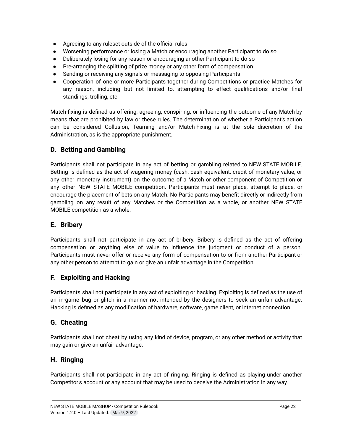- Agreeing to any ruleset outside of the official rules
- Worsening performance or losing a Match or encouraging another Participant to do so
- Deliberately losing for any reason or encouraging another Participant to do so
- Pre-arranging the splitting of prize money or any other form of compensation
- Sending or receiving any signals or messaging to opposing Participants
- Cooperation of one or more Participants together during Competitions or practice Matches for any reason, including but not limited to, attempting to effect qualifications and/or final standings, trolling, etc.

Match-fixing is defined as offering, agreeing, conspiring, or influencing the outcome of any Match by means that are prohibited by law or these rules. The determination of whether a Participant's action can be considered Collusion, Teaming and/or Match-Fixing is at the sole discretion of the Administration, as is the appropriate punishment.

### <span id="page-21-0"></span>**D. Betting and Gambling**

Participants shall not participate in any act of betting or gambling related to NEW STATE MOBILE. Betting is defined as the act of wagering money (cash, cash equivalent, credit of monetary value, or any other monetary instrument) on the outcome of a Match or other component of Competition or any other NEW STATE MOBILE competition. Participants must never place, attempt to place, or encourage the placement of bets on any Match. No Participants may benefit directly or indirectly from gambling on any result of any Matches or the Competition as a whole, or another NEW STATE MOBILE competition as a whole.

#### <span id="page-21-1"></span>**E. Bribery**

Participants shall not participate in any act of bribery. Bribery is defined as the act of offering compensation or anything else of value to influence the judgment or conduct of a person. Participants must never offer or receive any form of compensation to or from another Participant or any other person to attempt to gain or give an unfair advantage in the Competition.

#### <span id="page-21-2"></span>**F. Exploiting and Hacking**

Participants shall not participate in any act of exploiting or hacking. Exploiting is defined as the use of an in-game bug or glitch in a manner not intended by the designers to seek an unfair advantage. Hacking is defined as any modification of hardware, software, game client, or internet connection.

#### <span id="page-21-3"></span>**G. Cheating**

Participants shall not cheat by using any kind of device, program, or any other method or activity that may gain or give an unfair advantage.

#### <span id="page-21-4"></span>**H. Ringing**

Participants shall not participate in any act of ringing. Ringing is defined as playing under another Competitor's account or any account that may be used to deceive the Administration in any way.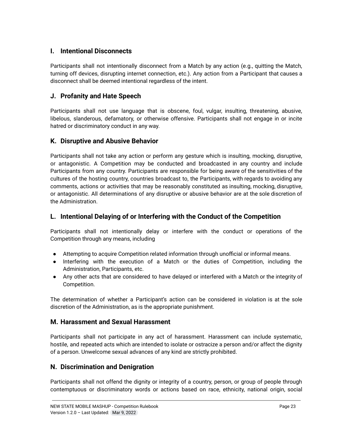### <span id="page-22-0"></span>**I. Intentional Disconnects**

Participants shall not intentionally disconnect from a Match by any action (e.g., quitting the Match, turning off devices, disrupting internet connection, etc.). Any action from a Participant that causes a disconnect shall be deemed intentional regardless of the intent.

#### <span id="page-22-1"></span>**J. Profanity and Hate Speech**

Participants shall not use language that is obscene, foul, vulgar, insulting, threatening, abusive, libelous, slanderous, defamatory, or otherwise offensive. Participants shall not engage in or incite hatred or discriminatory conduct in any way.

#### <span id="page-22-2"></span>**K. Disruptive and Abusive Behavior**

Participants shall not take any action or perform any gesture which is insulting, mocking, disruptive, or antagonistic. A Competition may be conducted and broadcasted in any country and include Participants from any country. Participants are responsible for being aware of the sensitivities of the cultures of the hosting country, countries broadcast to, the Participants, with regards to avoiding any comments, actions or activities that may be reasonably constituted as insulting, mocking, disruptive, or antagonistic. All determinations of any disruptive or abusive behavior are at the sole discretion of the Administration.

#### <span id="page-22-3"></span>**L. Intentional Delaying of or Interfering with the Conduct of the Competition**

Participants shall not intentionally delay or interfere with the conduct or operations of the Competition through any means, including

- Attempting to acquire Competition related information through unofficial or informal means.
- Interfering with the execution of a Match or the duties of Competition, including the Administration, Participants, etc.
- Any other acts that are considered to have delayed or interfered with a Match or the integrity of Competition.

The determination of whether a Participant's action can be considered in violation is at the sole discretion of the Administration, as is the appropriate punishment.

#### <span id="page-22-4"></span>**M. Harassment and Sexual Harassment**

Participants shall not participate in any act of harassment. Harassment can include systematic, hostile, and repeated acts which are intended to isolate or ostracize a person and/or affect the dignity of a person. Unwelcome sexual advances of any kind are strictly prohibited.

### <span id="page-22-5"></span>**N. Discrimination and Denigration**

Participants shall not offend the dignity or integrity of a country, person, or group of people through contemptuous or discriminatory words or actions based on race, ethnicity, national origin, social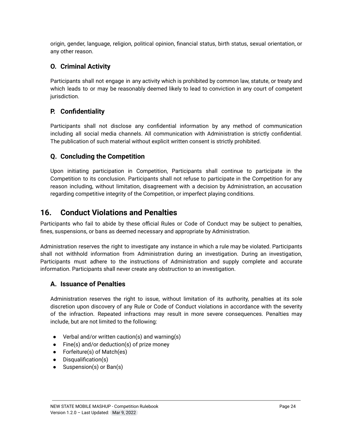origin, gender, language, religion, political opinion, financial status, birth status, sexual orientation, or any other reason.

## <span id="page-23-0"></span>**O. Criminal Activity**

Participants shall not engage in any activity which is prohibited by common law, statute, or treaty and which leads to or may be reasonably deemed likely to lead to conviction in any court of competent jurisdiction.

### <span id="page-23-1"></span>**P. Confidentiality**

Participants shall not disclose any confidential information by any method of communication including all social media channels. All communication with Administration is strictly confidential. The publication of such material without explicit written consent is strictly prohibited.

#### <span id="page-23-2"></span>**Q. Concluding the Competition**

Upon initiating participation in Competition, Participants shall continue to participate in the Competition to its conclusion. Participants shall not refuse to participate in the Competition for any reason including, without limitation, disagreement with a decision by Administration, an accusation regarding competitive integrity of the Competition, or imperfect playing conditions.

## <span id="page-23-3"></span>**16. Conduct Violations and Penalties**

Participants who fail to abide by these official Rules or Code of Conduct may be subject to penalties, fines, suspensions, or bans as deemed necessary and appropriate by Administration.

Administration reserves the right to investigate any instance in which a rule may be violated. Participants shall not withhold information from Administration during an investigation. During an investigation, Participants must adhere to the instructions of Administration and supply complete and accurate information. Participants shall never create any obstruction to an investigation.

#### <span id="page-23-4"></span>**A. Issuance of Penalties**

Administration reserves the right to issue, without limitation of its authority, penalties at its sole discretion upon discovery of any Rule or Code of Conduct violations in accordance with the severity of the infraction. Repeated infractions may result in more severe consequences. Penalties may include, but are not limited to the following:

- Verbal and/or written caution(s) and warning(s)
- $\bullet$  Fine(s) and/or deduction(s) of prize money
- Forfeiture(s) of Match(es)
- Disqualification(s)
- Suspension(s) or Ban(s)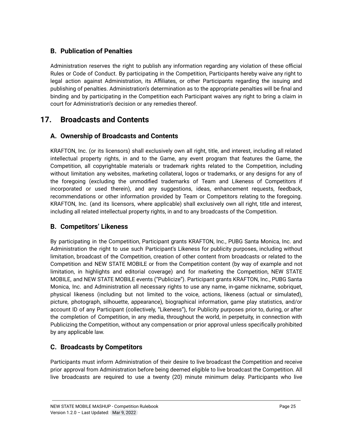## <span id="page-24-0"></span>**B. Publication of Penalties**

Administration reserves the right to publish any information regarding any violation of these official Rules or Code of Conduct. By participating in the Competition, Participants hereby waive any right to legal action against Administration, its Affiliates, or other Participants regarding the issuing and publishing of penalties. Administration's determination as to the appropriate penalties will be final and binding and by participating in the Competition each Participant waives any right to bring a claim in court for Administration's decision or any remedies thereof.

# <span id="page-24-2"></span><span id="page-24-1"></span>**17. Broadcasts and Contents**

### **A. Ownership of Broadcasts and Contents**

KRAFTON, Inc. (or its licensors) shall exclusively own all right, title, and interest, including all related intellectual property rights, in and to the Game, any event program that features the Game, the Competition, all copyrightable materials or trademark rights related to the Competition, including without limitation any websites, marketing collateral, logos or trademarks, or any designs for any of the foregoing (excluding the unmodified trademarks of Team and Likeness of Competitors if incorporated or used therein), and any suggestions, ideas, enhancement requests, feedback, recommendations or other information provided by Team or Competitors relating to the foregoing. KRAFTON, Inc. (and its licensors, where applicable) shall exclusively own all right, title and interest, including all related intellectual property rights, in and to any broadcasts of the Competition.

### <span id="page-24-3"></span>**B. Competitors' Likeness**

By participating in the Competition, Participant grants KRAFTON, Inc., PUBG Santa Monica, Inc. and Administration the right to use such Participant's Likeness for publicity purposes, including without limitation, broadcast of the Competition, creation of other content from broadcasts or related to the Competition and NEW STATE MOBILE or from the Competition content (by way of example and not limitation, in highlights and editorial coverage) and for marketing the Competition, NEW STATE MOBILE, and NEW STATE MOBILE events ("Publicize"). Participant grants KRAFTON, Inc., PUBG Santa Monica, Inc. and Administration all necessary rights to use any name, in-game nickname, sobriquet, physical likeness (including but not limited to the voice, actions, likeness (actual or simulated), picture, photograph, silhouette, appearance), biographical information, game play statistics, and/or account ID of any Participant (collectively, "Likeness"), for Publicity purposes prior to, during, or after the completion of Competition, in any media, throughout the world, in perpetuity, in connection with Publicizing the Competition, without any compensation or prior approval unless specifically prohibited by any applicable law.

### <span id="page-24-4"></span>**C. Broadcasts by Competitors**

Participants must inform Administration of their desire to live broadcast the Competition and receive prior approval from Administration before being deemed eligible to live broadcast the Competition. All live broadcasts are required to use a twenty (20) minute minimum delay. Participants who live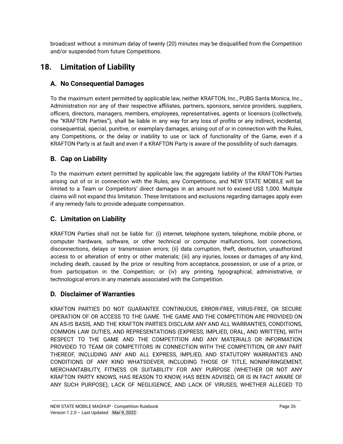broadcast without a minimum delay of twenty (20) minutes may be disqualified from the Competition and/or suspended from future Competitions.

# <span id="page-25-1"></span><span id="page-25-0"></span>**18. Limitation of Liability**

# **A. No Consequential Damages**

To the maximum extent permitted by applicable law, neither KRAFTON, Inc., PUBG Santa Monica, Inc., Administration nor any of their respective affiliates, partners, sponsors, service providers, suppliers, officers, directors, managers, members, employees, representatives, agents or licensors (collectively, the "KRAFTON Parties"), shall be liable in any way for any loss of profits or any indirect, incidental, consequential, special, punitive, or exemplary damages, arising out of or in connection with the Rules, any Competitions, or the delay or inability to use or lack of functionality of the Game, even if a KRAFTON Party is at fault and even if a KRAFTON Party is aware of the possibility of such damages.

# <span id="page-25-2"></span>**B. Cap on Liability**

To the maximum extent permitted by applicable law, the aggregate liability of the KRAFTON Parties arising out of or in connection with the Rules, any Competitions, and NEW STATE MOBILE will be limited to a Team or Competitors' direct damages in an amount not to exceed US\$ 1,000. Multiple claims will not expand this limitation. These limitations and exclusions regarding damages apply even if any remedy fails to provide adequate compensation.

# <span id="page-25-3"></span>**C. Limitation on Liability**

KRAFTON Parties shall not be liable for: (i) internet, telephone system, telephone, mobile phone, or computer hardware, software, or other technical or computer malfunctions, lost connections, disconnections, delays or transmission errors; (ii) data corruption, theft, destruction, unauthorized access to or alteration of entry or other materials; (iii) any injuries, losses or damages of any kind, including death, caused by the prize or resulting from acceptance, possession, or use of a prize, or from participation in the Competition; or (iv) any printing, typographical, administrative, or technological errors in any materials associated with the Competition.

## <span id="page-25-4"></span>**D. Disclaimer of Warranties**

KRAFTON PARTIES DO NOT GUARANTEE CONTINUOUS, ERROR-FREE, VIRUS-FREE, OR SECURE OPERATION OF OR ACCESS TO THE GAME. THE GAME AND THE COMPETITION ARE PROVIDED ON AN AS-IS BASIS, AND THE KRAFTON PARTIES DISCLAIM ANY AND ALL WARRANTIES, CONDITIONS, COMMON LAW DUTIES, AND REPRESENTATIONS (EXPRESS, IMPLIED, ORAL, AND WRITTEN), WITH RESPECT TO THE GAME AND THE COMPETITION AND ANY MATERIALS OR INFORMATION PROVIDED TO TEAM OR COMPETITORS IN CONNECTION WITH THE COMPETITION, OR ANY PART THEREOF, INCLUDING ANY AND ALL EXPRESS, IMPLIED, AND STATUTORY WARRANTIES AND CONDITIONS OF ANY KIND WHATSOEVER, INCLUDING THOSE OF TITLE, NONINFRINGEMENT, MERCHANTABILITY, FITNESS OR SUITABILITY FOR ANY PURPOSE (WHETHER OR NOT ANY KRAFTON PARTY KNOWS, HAS REASON TO KNOW, HAS BEEN ADVISED, OR IS IN FACT AWARE OF ANY SUCH PURPOSE), LACK OF NEGLIGENCE, AND LACK OF VIRUSES, WHETHER ALLEGED TO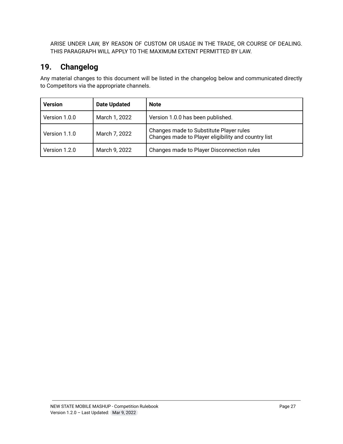ARISE UNDER LAW, BY REASON OF CUSTOM OR USAGE IN THE TRADE, OR COURSE OF DEALING. THIS PARAGRAPH WILL APPLY TO THE MAXIMUM EXTENT PERMITTED BY LAW.

# <span id="page-26-0"></span>**19. Changelog**

Any material changes to this document will be listed in the changelog below and communicated directly to Competitors via the appropriate channels.

| <b>Version</b> | <b>Date Updated</b> | <b>Note</b>                                                                                    |
|----------------|---------------------|------------------------------------------------------------------------------------------------|
| Version 1.0.0  | March 1, 2022       | Version 1.0.0 has been published.                                                              |
| Version 1.1.0  | March 7, 2022       | Changes made to Substitute Player rules<br>Changes made to Player eligibility and country list |
| Version 1.2.0  | March 9, 2022       | Changes made to Player Disconnection rules                                                     |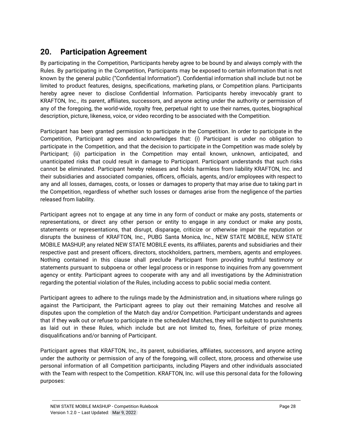# <span id="page-27-0"></span>**20. Participation Agreement**

By participating in the Competition, Participants hereby agree to be bound by and always comply with the Rules. By participating in the Competition, Participants may be exposed to certain information that is not known by the general public ("Confidential Information"). Confidential information shall include but not be limited to product features, designs, specifications, marketing plans, or Competition plans. Participants hereby agree never to disclose Confidential Information. Participants hereby irrevocably grant to KRAFTON, Inc., its parent, affiliates, successors, and anyone acting under the authority or permission of any of the foregoing, the world-wide, royalty free, perpetual right to use their names, quotes, biographical description, picture, likeness, voice, or video recording to be associated with the Competition.

Participant has been granted permission to participate in the Competition. In order to participate in the Competition, Participant agrees and acknowledges that: (i) Participant is under no obligation to participate in the Competition, and that the decision to participate in the Competition was made solely by Participant; (ii) participation in the Competition may entail known, unknown, anticipated, and unanticipated risks that could result in damage to Participant. Participant understands that such risks cannot be eliminated. Participant hereby releases and holds harmless from liability KRAFTON, Inc. and their subsidiaries and associated companies, officers, officials, agents, and/or employees with respect to any and all losses, damages, costs, or losses or damages to property that may arise due to taking part in the Competition, regardless of whether such losses or damages arise from the negligence of the parties released from liability.

Participant agrees not to engage at any time in any form of conduct or make any posts, statements or representations, or direct any other person or entity to engage in any conduct or make any posts, statements or representations, that disrupt, disparage, criticize or otherwise impair the reputation or disrupts the business of KRAFTON, Inc., PUBG Santa Monica, Inc., NEW STATE MOBILE, NEW STATE MOBILE MASHUP, any related NEW STATE MOBILE events, its affiliates, parents and subsidiaries and their respective past and present officers, directors, stockholders, partners, members, agents and employees. Nothing contained in this clause shall preclude Participant from providing truthful testimony or statements pursuant to subpoena or other legal process or in response to inquiries from any government agency or entity. Participant agrees to cooperate with any and all investigations by the Administration regarding the potential violation of the Rules, including access to public social media content.

Participant agrees to adhere to the rulings made by the Administration and, in situations where rulings go against the Participant, the Participant agrees to play out their remaining Matches and resolve all disputes upon the completion of the Match day and/or Competition. Participant understands and agrees that if they walk out or refuse to participate in the scheduled Matches, they will be subject to punishments as laid out in these Rules, which include but are not limited to, fines, forfeiture of prize money, disqualifications and/or banning of Participant.

Participant agrees that KRAFTON, Inc., its parent, subsidiaries, affiliates, successors, and anyone acting under the authority or permission of any of the foregoing, will collect, store, process and otherwise use personal information of all Competition participants, including Players and other individuals associated with the Team with respect to the Competition. KRAFTON, Inc. will use this personal data for the following purposes: